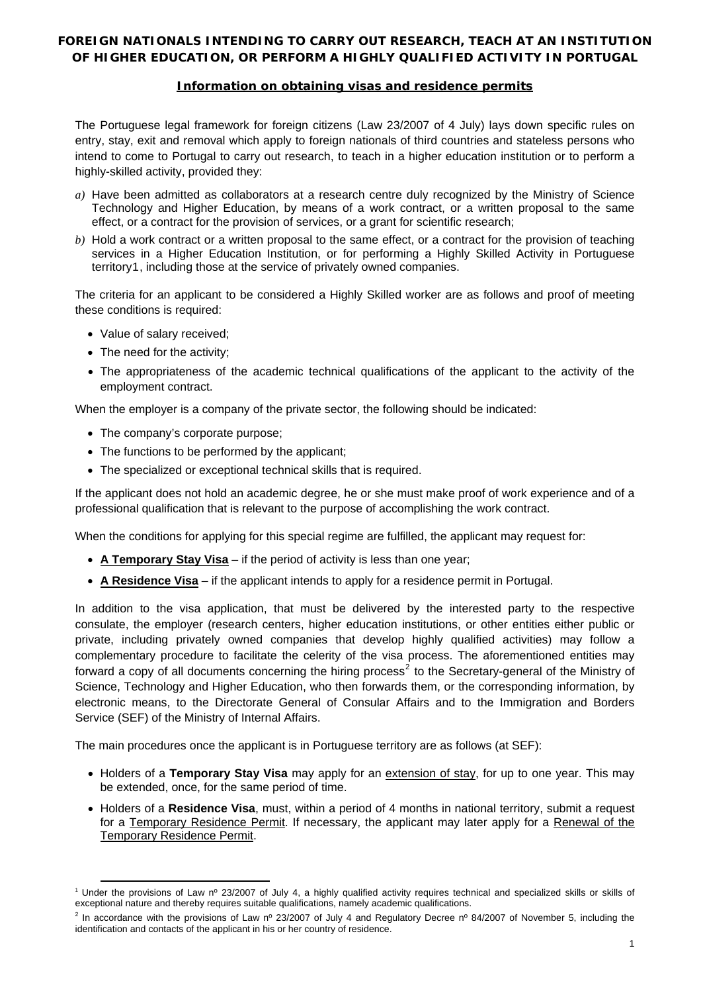# **FOREIGN NATIONALS INTENDING TO CARRY OUT RESEARCH, TEACH AT AN INSTITUTION OF HIGHER EDUCATION, OR PERFORM A HIGHLY QUALIFIED ACTIVITY IN PORTUGAL**

## **Information on obtaining visas and residence permits**

The Portuguese legal framework for foreign citizens (Law 23/2007 of 4 July) lays down specific rules on entry, stay, exit and removal which apply to foreign nationals of third countries and stateless persons who intend to come to Portugal to carry out research, to teach in a higher education institution or to perform a highly-skilled activity, provided they:

- *a)* Have been admitted as collaborators at a research centre duly recognized by the Ministry of Science Technology and Higher Education, by means of a work contract, or a written proposal to the same effect, or a contract for the provision of services, or a grant for scientific research;
- *b)* Hold a work contract or a written proposal to the same effect, or a contract for the provision of teaching services in a Higher Education Institution, or for performing a Highly Skilled Activity in Portuguese territory[1](#page-0-0), including those at the service of privately owned companies.

The criteria for an applicant to be considered a Highly Skilled worker are as follows and proof of meeting these conditions is required:

- Value of salary received;
- The need for the activity;
- The appropriateness of the academic technical qualifications of the applicant to the activity of the employment contract.

When the employer is a company of the private sector, the following should be indicated:

- The company's corporate purpose:
- The functions to be performed by the applicant;
- The specialized or exceptional technical skills that is required.

If the applicant does not hold an academic degree, he or she must make proof of work experience and of a professional qualification that is relevant to the purpose of accomplishing the work contract.

When the conditions for applying for this special regime are fulfilled, the applicant may request for:

- **A Temporary Stay Visa** if the period of activity is less than one year;
- **A Residence Visa** if the applicant intends to apply for a residence permit in Portugal.

In addition to the visa application, that must be delivered by the interested party to the respective consulate, the employer (research centers, higher education institutions, or other entities either public or private, including privately owned companies that develop highly qualified activities) may follow a complementary procedure to facilitate the celerity of the visa process. The aforementioned entities may forward a copy of all documents concerning the hiring process<sup>[2](#page-0-1)</sup> to the Secretary-general of the Ministry of Science, Technology and Higher Education, who then forwards them, or the corresponding information, by electronic means, to the Directorate General of Consular Affairs and to the Immigration and Borders Service (SEF) of the Ministry of Internal Affairs.

The main procedures once the applicant is in Portuguese territory are as follows (at SEF):

- Holders of a **Temporary Stay Visa** may apply for an extension of stay, for up to one year. This may be extended, once, for the same period of time.
- Holders of a **Residence Visa**, must, within a period of 4 months in national territory, submit a request for a Temporary Residence Permit. If necessary, the applicant may later apply for a Renewal of the Temporary Residence Permit.

<span id="page-0-0"></span> <sup>1</sup> Under the provisions of Law nº 23/2007 of July 4, a highly qualified activity requires technical and specialized skills or skills of exceptional nature and thereby requires suitable qualifications, namely academic qualifications.

<span id="page-0-1"></span><sup>&</sup>lt;sup>2</sup> In accordance with the provisions of Law nº 23/2007 of July 4 and Regulatory Decree nº 84/2007 of November 5, including the identification and contacts of the applicant in his or her country of residence.